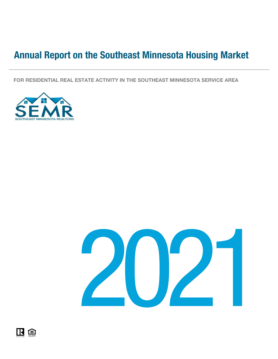# Annual Report on the Southeast Minnesota Housing Market

FOR RESIDENTIAL REAL ESTATE ACTIVITY IN THE SOUTHEAST MINNESOTA SERVICE AREA





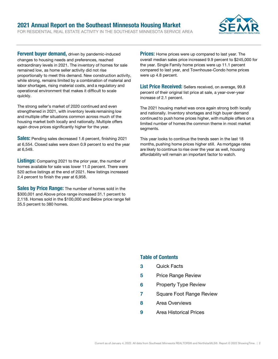### FOR RESIDENTIAL REAL ESTATE ACTIVITY IN THE SOUTHEAST MINNESOTA SERVICE AREA 2021 Annual Report on the Southeast Minnesota Housing Market



Fervent buyer demand, driven by pandemic-induced changes to housing needs and preferences, reached extraordinary levels in 2021. The inventory of homes for sale remained low, as home seller activity did not rise proportionally to meet this demand. New construction activity, while strong, remains limited by a combination of material and labor shortages, rising material costs, and a regulatory and operational environment that makes it difficult to scale quickly.

The strong seller's market of 2020 continued and even strengthened in 2021, with inventory levels remaining low and multiple offer situations common across much of the housing market both locally and nationally. Multiple offers again drove prices significantly higher for the year.  

**Sales:** Pending sales decreased 1.6 percent, finishing 2021 at 6,554. Closed sales were down 0.9 percent to end the year at 6,549.

Listings: Comparing 2021 to the prior year, the number of homes available for sale was lower 11.0 percent. There were 520 active listings at the end of 2021. New listings increased 2.4 percent to finish the year at 6,958.

**Sales by Price Range:** The number of homes sold in the \$300,001 and Above price range increased 31.1 percent to 2,118. Homes sold in the \$100,000 and Below price range fell 35.5 percent to 380 homes.

**Prices:** Home prices were up compared to last year. The overall median sales price increased 9.9 percent to \$245,000 for the year. Single Family home prices were up 11.1 percent compared to last year, and Townhouse-Condo home prices were up 4.8 percent.

List Price Received: Sellers received, on average, 99.8 percent of their original list price at sale, a year-over-year increase of 2.1 percent.

The 2021 housing market was once again strong both locally and nationally. Inventory shortages and high buyer demand continued to push home prices higher, with multiple offers on a limited number of homes the common theme in most market segments.  

This year looks to continue the trends seen in the last 18 months, pushing home prices higher still. As mortgage rates are likely to continue to rise over the year as well, housing affordability will remain an important factor to watch.

## Table of Contents

- 3 Quick Facts
- **5** Price Range Review
- **6** Property Type Review
- 7 Square Foot Range Review
- 8 Area Overviews
- 9 Area Historical Prices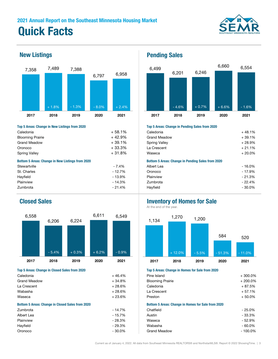



| Top 5 Areas: Change in New Listings from 2020           |           | Top 5 Areas: Change in Pending Sales from 2020           |           |  |
|---------------------------------------------------------|-----------|----------------------------------------------------------|-----------|--|
| Caledonia                                               | $+58.1%$  | Caledonia                                                | $+48.1%$  |  |
| <b>Blooming Prairie</b>                                 | $+42.9%$  | <b>Grand Meadow</b>                                      | $+39.1%$  |  |
| <b>Grand Meadow</b>                                     | + 39.1%   | Spring Valley                                            | $+28.9%$  |  |
| Oronoco                                                 | + 33.3%   | La Crescent                                              | $+21.1%$  |  |
| <b>Spring Valley</b>                                    | $+31.8\%$ |                                                          | $+20.0%$  |  |
| <b>Bottom 5 Areas: Change in New Listings from 2020</b> |           | <b>Bottom 5 Areas: Change in Pending Sales from 2020</b> |           |  |
| Stewartville                                            | $-7.4\%$  | Albert Lea                                               | $-16.0%$  |  |
| St. Charles                                             | $-12.7%$  | Oronoco                                                  | $-17.9%$  |  |
| Hayfield                                                | $-13.9%$  | Plainview                                                | $-21.3%$  |  |
| Plainview                                               | - 14.3%   | Zumbrota                                                 | $-22.4%$  |  |
| <b>Zumbrota</b>                                         | $-214%$   | Havfield                                                 | $-30.0\%$ |  |



| Caledonia                                               | $+46.4%$  | Pine Island                                               | $+300.0%$  |  |  |
|---------------------------------------------------------|-----------|-----------------------------------------------------------|------------|--|--|
| <b>Grand Meadow</b>                                     | $+34.8%$  | <b>Blooming Prairie</b>                                   | $+200.0%$  |  |  |
| La Crescent                                             | $+28.6%$  | Caledonia                                                 | $+87.5%$   |  |  |
| Wabasha                                                 | $+28.6%$  | La Crescent                                               | $+57.1%$   |  |  |
| Waseca                                                  | $+23.6%$  | Preston                                                   | $+50.0\%$  |  |  |
| <b>Bottom 5 Areas: Change in Closed Sales from 2020</b> |           | <b>Bottom 5 Areas: Change in Homes for Sale from 2020</b> |            |  |  |
| Zumbrota                                                | $-14.7%$  | Chatfield                                                 | - 25.0%    |  |  |
| Albert Lea                                              | $-15.7%$  | Austin                                                    | - 33.3%    |  |  |
| Plainview                                               | $-28.3%$  | Waseca                                                    | - 52.9%    |  |  |
| Hayfield                                                | - 29.3%   | Wabasha                                                   | - 60.0%    |  |  |
| Oronoco                                                 | $-30.0\%$ | <b>Grand Meadow</b>                                       | $-100.0\%$ |  |  |

## New Listings **Pending Sales**



### Top 5 Areas: Change in Pending Sales from 2020

| Caledonia                                        | $+58.1\%$ | Caledonia                                                | + 48.1%   |  |  |
|--------------------------------------------------|-----------|----------------------------------------------------------|-----------|--|--|
| <b>Blooming Prairie</b>                          | + 42.9%   | <b>Grand Meadow</b>                                      | $+39.1%$  |  |  |
| Grand Meadow                                     | + 39.1%   | <b>Spring Valley</b>                                     | $+28.9\%$ |  |  |
| Oronoco                                          | + 33.3%   | La Crescent                                              | $+21.1%$  |  |  |
| Spring Valley                                    | + 31.8%   | Waseca                                                   | $+20.0\%$ |  |  |
| Bottom 5 Areas: Change in New Listings from 2020 |           | <b>Bottom 5 Areas: Change in Pending Sales from 2020</b> |           |  |  |
| Stewartville                                     | $-7.4%$   | Albert Lea                                               | $-16.0\%$ |  |  |
| St. Charles                                      | $-12.7%$  | Oronoco                                                  | $-17.9%$  |  |  |
| Hayfield                                         | $-13.9%$  | Plainview                                                | $-21.3%$  |  |  |
| Plainview                                        | - 14.3%   | Zumbrota                                                 | $-22.4%$  |  |  |
| Zumbrota                                         | $-21.4\%$ | Hayfield                                                 | $-30.0\%$ |  |  |
|                                                  |           |                                                          |           |  |  |

## Closed Sales **Inventory of Homes for Sale**

At the end of the year.



### Top 5 Areas: Change in Closed Sales from 2020 Top 5 Areas: Change in Homes for Sale from 2020

| Pine Island                                               | $+300.0\%$ |
|-----------------------------------------------------------|------------|
| <b>Blooming Prairie</b>                                   | $+200.0%$  |
| Caledonia                                                 | $+87.5%$   |
| La Crescent                                               | $+57.1%$   |
| Preston                                                   | $+50.0\%$  |
| <b>Bottom 5 Areas: Change in Homes for Sale from 2020</b> |            |
| Chatfield                                                 | $-25.0\%$  |
| Austin                                                    | - 33.3%    |
| Waseca                                                    | $-52.9%$   |
| Wabasha                                                   | $-60.0\%$  |
| <b>Grand Meadow</b>                                       | $-100.0\%$ |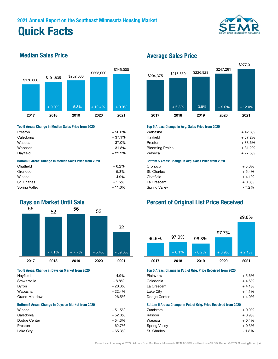



## Top 5 Areas: Change in Median Sales Price from 2020 Top 5 Areas: Change in Avg. Sales Price from 2020

| Preston                                                       | $+56.0%$                                  | Wabasha                                              | $+42.8%$             |
|---------------------------------------------------------------|-------------------------------------------|------------------------------------------------------|----------------------|
| Caledonia                                                     | $+37.1%$                                  | Hayfield                                             | $+37.2%$             |
| Waseca                                                        | $+37.0%$                                  | Preston                                              | $+33.6%$             |
| Wabasha                                                       | $+31.8%$                                  | <b>Blooming Prairie</b>                              | $+31.2%$             |
| Hayfield                                                      | $+29.2%$                                  | Waseca                                               | $+27.5%$             |
| <b>Bottom 5 Areas: Change in Median Sales Price from 2020</b> |                                           | Bottom 5 Areas: Change in Avg. Sales Price from 2020 |                      |
| Chatfield                                                     | $+6.2%$                                   | Oronoco                                              | $+5.6%$              |
| Oronoco                                                       | $+5.3%$                                   | St. Charles                                          | $+5.4%$              |
| Winona                                                        | $+4.9%$                                   | Chatfield                                            | $+4.1%$              |
| $\sim$ $\sim$ $\sim$                                          | $\rightarrow$ $\rightarrow$ $\rightarrow$ | $\sim$ $\sim$ $\sim$                                 | $\sim$ $\sim$ $\sim$ |



| Hayfield                                                  | $+4.9%$  | Plainview                                                        | $+5.6%$ |
|-----------------------------------------------------------|----------|------------------------------------------------------------------|---------|
| Stewartville                                              | - 8.8%   | Caledonia                                                        | $+4.6%$ |
| Byron                                                     | - 20.3%  | La Crescent                                                      | $+4.1%$ |
| Wabasha                                                   | $-22.4%$ | Lake City                                                        | $+4.1%$ |
| <b>Grand Meadow</b>                                       | - 26.5%  | Dodge Center                                                     | $+4.0%$ |
| <b>Bottom 5 Areas: Change in Days on Market from 2020</b> |          | Bottom 5 Areas: Change in Pct. of Orig. Price Received from 2020 |         |
| Winona                                                    | $-51.5%$ | Zumbrota                                                         | $+0.9%$ |
| Caledonia                                                 | $-52.8%$ | Kasson                                                           | $+0.9%$ |
| Dodge Center                                              | $-54.3%$ | Waseca                                                           | $+0.4%$ |
| Preston                                                   | $-62.7%$ | <b>Spring Valley</b>                                             | $+0.3%$ |
| I ake City                                                | $-65.3%$ | St. Charles                                                      | $-1.8%$ |

## Median Sales Price **Average Sales Price**



| $+56.0%$ | Wabasha                                              | $+42.8%$ |
|----------|------------------------------------------------------|----------|
| $+37.1%$ | Hayfield                                             | + 37.2%  |
| $+37.0%$ | Preston                                              | +33.6%   |
| $+31.8%$ | <b>Blooming Prairie</b>                              | $+31.2%$ |
| $+29.2%$ | Waseca                                               | + 27.5%  |
|          | Bottom 5 Areas: Change in Avg. Sales Price from 2020 |          |
| $+6.2%$  | Oronoco                                              | $+5.6%$  |
| $+5.3%$  | St. Charles                                          | $+5.4%$  |
| $+4.9%$  | Chatfield                                            | $+4.1%$  |
| $-1.5%$  | La Crescent                                          | $+0.8\%$ |
| - 11.6%  | <b>Spring Valley</b>                                 | $-7.2\%$ |
|          |                                                      |          |

## Days on Market Until Sale **Percent of Original List Price Received**



### Top 5 Areas: Change in Days on Market from 2020 Top 5 Areas: Change in Pct. of Orig. Price Received from 2020

| TOD O ATGUS. UNUNGUN IN TUG UT UNG. I NGG NGGGIYGU NUNI EUZU |         |
|--------------------------------------------------------------|---------|
| Plainview                                                    | $+5.6%$ |
| Caledonia                                                    | $+4.6%$ |
| La Crescent                                                  | $+4.1%$ |
| Lake City                                                    | $+4.1%$ |
| Dodge Center                                                 | $+4.0%$ |
|                                                              |         |

### Bottom 5 Areas: Change in Pct. of Orig. Price Received from 2020

| Winona       | $-51.5%$ | Zumbrota             | $+0.9%$ |
|--------------|----------|----------------------|---------|
| Caledonia    | $-52.8%$ | Kasson               | $+0.9%$ |
| Dodge Center | - 54.3%  | Waseca               | $+0.4%$ |
| Preston      | - 62.7%  | <b>Spring Valley</b> | $+0.3%$ |
| Lake City    | - 65.3%  | St. Charles          | $-1.8%$ |
|              |          |                      |         |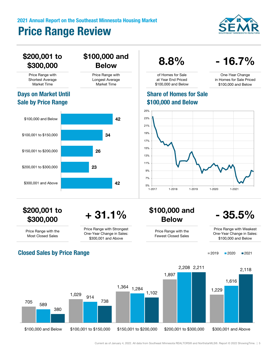# 2021 Annual Report on the Southeast Minnesota Housing Market Price Range Review





Current as of January 4, 2022. All data from Southeast Minnesota REALTORS® and NorthstarMLS®. Report © 2022 ShowingTime. | 5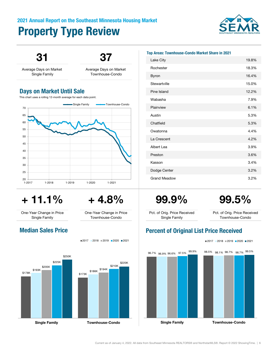# Property Type Review 2021 Annual Report on the Southeast Minnesota Housing Market





# $+ 11.1\% + 4.8\% + 99.9\%$  99.5%

One-Year Change in Price Single Family

One-Year Change in Price Townhouse-Condo



■2017 2018 2019 2020 2021



### Top Areas: Townhouse-Condo Market Share in 2021

| Lake City           | 19.8% |
|---------------------|-------|
| Rochester           | 18.3% |
| <b>Byron</b>        | 16.4% |
| Stewartville        | 15.0% |
| Pine Island         | 12.2% |
| Wabasha             | 7.9%  |
| Plainview           | 6.1%  |
| Austin              | 5.3%  |
| Chatfield           | 5.3%  |
| Owatonna            | 4.4%  |
| La Crescent         | 4.2%  |
| Albert Lea          | 3.9%  |
| Preston             | 3.6%  |
| Kasson              | 3.4%  |
| Dodge Center        | 3.2%  |
| <b>Grand Meadow</b> | 3.2%  |

Pct. of Orig. Price Received Single Family

Pct. of Orig. Price Received Townhouse-Condo

## Median Sales Price **Price Access Price Percent of Original List Price Received**

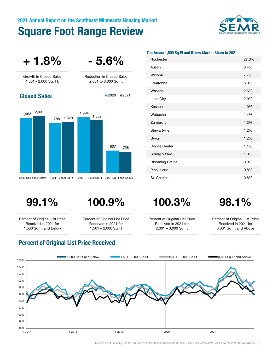# 2021 Annual Report on the Southeast Minnesota Housing Market Square Foot Range Review





| Top Areas: 1,500 Sq Ft and Below Market Share in 2021 |       |  |  |  |  |
|-------------------------------------------------------|-------|--|--|--|--|
| Rochester                                             | 27.6% |  |  |  |  |
| Austin                                                | 8.4%  |  |  |  |  |
| Winona                                                | 7.7%  |  |  |  |  |
| Owatonna                                              | 6.9%  |  |  |  |  |
| Waseca                                                | 2.6%  |  |  |  |  |
| Lake City                                             | 2.0%  |  |  |  |  |
| Kasson                                                | 1.9%  |  |  |  |  |
| Wabasha                                               | 1.4%  |  |  |  |  |
| Zumbrota                                              | 1.3%  |  |  |  |  |
| Stewartville                                          | 1.2%  |  |  |  |  |
| <b>Byron</b>                                          | 1.2%  |  |  |  |  |
| Dodge Center                                          | 1.1%  |  |  |  |  |
| <b>Spring Valley</b>                                  | 1.0%  |  |  |  |  |
| <b>Blooming Prairie</b>                               | 0.9%  |  |  |  |  |
| Pine Island                                           | 0.8%  |  |  |  |  |
| St. Charles                                           | 0.8%  |  |  |  |  |

Percent of Original List Price Received in 2021 for 1,500 Sq Ft and Below

Percent of Original List Price Received in 2021 for 1,501 – 2,000 Sq Ft



Percent of Original List Price Received in 2021 for 2,001 – 3,000 Sq Ft

Percent of Original List Price Received in 2021 for 3,001 Sq Ft and Above



## Percent of Original List Price Received

Current as of January 4, 2022. All data from Southeast Minnesota REALTORS® and NorthstarMLS®. Report © 2022 ShowingTime. | 7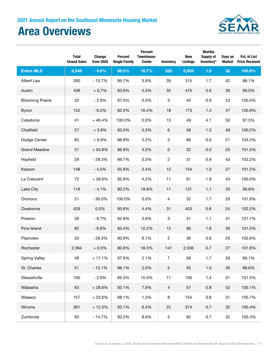# Area Overviews



|                         | <b>Total</b><br><b>Closed Sales</b> | Change<br>from 2020 | <b>Percent</b><br><b>Single Family</b> | Percent<br>Townhouse-<br><b>Condo</b> | Inventory                 | <b>New</b><br><b>Listings</b> | <b>Months</b><br><b>Supply of</b><br>Inventory* | Days on<br><b>Market</b> | Pct. of List<br><b>Price Received</b> |
|-------------------------|-------------------------------------|---------------------|----------------------------------------|---------------------------------------|---------------------------|-------------------------------|-------------------------------------------------|--------------------------|---------------------------------------|
| <b>Entire MLS</b>       | 6,549                               | $-0.9%$             | 88.5%                                  | 10.7%                                 | 520                       | 6,958                         | 1.0                                             | 32                       | 100.9%                                |
| Albert Lea              | 280                                 | $-15.7%$            | 95.7%                                  | 3.9%                                  | 39                        | 315                           | 1.7                                             | 42                       | 98.1%                                 |
| Austin                  | 436                                 | $+0.7%$             | 93.6%                                  | 5.3%                                  | 32                        | 475                           | 0.9                                             | 30                       | 99.5%                                 |
| <b>Blooming Prairie</b> | 33                                  | $-2.9%$             | 97.0%                                  | 0.0%                                  | $\ensuremath{\mathsf{3}}$ | 40                            | 0.9                                             | 23                       | 100.5%                                |
| Byron                   | 152                                 | $-6.2%$             | 82.2%                                  | 16.4%                                 | 18                        | 173                           | 1.4                                             | 47                       | 100.9%                                |
| Caledonia               | 41                                  | $+46.4%$            | 100.0%                                 | 0.0%                                  | 15                        | 49                            | 4.1                                             | 50                       | 97.5%                                 |
| Chatfield               | 57                                  | $+3.6%$             | 93.0%                                  | 5.3%                                  | $\,6$                     | 58                            | 1.3                                             | 49                       | 100.2%                                |
| Dodge Center            | 62                                  | $+6.9%$             | 96.8%                                  | 3.2%                                  | $\ensuremath{\mathsf{3}}$ | 66                            | 0.6                                             | 21                       | 103.3%                                |
| <b>Grand Meadow</b>     | 31                                  | $+34.8%$            | 96.8%                                  | 3.2%                                  | $\pmb{0}$                 | 32                            | 0.0                                             | 25                       | 101.5%                                |
| Hayfield                | 29                                  | $-29.3%$            | 89.7%                                  | 0.0%                                  | $\sqrt{2}$                | 31                            | 0.9                                             | 43                       | 102.2%                                |
| Kasson                  | 148                                 | $-4.5%$             | 95.9%                                  | 3.4%                                  | 12                        | 154                           | 1.0                                             | 27                       | 101.2%                                |
| La Crescent             | 72                                  | $+28.6%$            | 95.8%                                  | 4.2%                                  | 11                        | 81                            | 1.9                                             | 43                       | 100.0%                                |
| Lake City               | 116                                 | $-4.1%$             | 80.2%                                  | 19.8%                                 | 11                        | 131                           | 1.1                                             | 33                       | 99.8%                                 |
| Oronoco                 | 21                                  | $-30.0%$            | 100.0%                                 | 0.0%                                  | $\overline{4}$            | 32                            | 1.7                                             | 29                       | 101.9%                                |
| Owatonna                | 429                                 | 0.0%                | 95.6%                                  | 4.4%                                  | 31                        | 453                           | 0.8                                             | 24                       | 102.2%                                |
| Preston                 | 28                                  | $-9.7%$             | 92.9%                                  | 3.6%                                  | $\ensuremath{\mathsf{3}}$ | 31                            | 1.1                                             | 31                       | 101.7%                                |
| Pine Island             | 82                                  | $-6.8%$             | 85.4%                                  | 12.2%                                 | 12                        | 96                            | 1.8                                             | 30                       | 101.5%                                |
| Plainview               | 33                                  | $-28.3%$            | 90.9%                                  | 6.1%                                  | $\sqrt{2}$                | 36                            | 0.6                                             | 25                       | 102.6%                                |
| Rochester               | 2,394                               | $+0.5%$             | 80.9%                                  | 18.3%                                 | 141                       | 2,536                         | 0.7                                             | 27                       | 101.8%                                |
| <b>Spring Valley</b>    | 48                                  | $+17.1%$            | 97.9%                                  | 2.1%                                  | $\boldsymbol{7}$          | 58                            | 1.7                                             | 28                       | 99.1%                                 |
| St. Charles             | 51                                  | $-12.1%$            | 96.1%                                  | 2.0%                                  | $\sqrt{5}$                | 55                            | 1.0                                             | 30                       | 98.6%                                 |
| Stewartville            | 100                                 | $-2.9%$             | 85.0%                                  | 15.0%                                 | 11                        | 100                           | $1.4$                                           | 31                       | 101.5%                                |
| Wabasha                 | 63                                  | $+28.6%$            | 92.1%                                  | 7.9%                                  | $\overline{4}$            | 57                            | 0.8                                             | 52                       | 100.1%                                |
| Waseca                  | 157                                 | $+23.6%$            | 98.1%                                  | 1.3%                                  | $\bf 8$                   | 154                           | 0.6                                             | 31                       | 100.7%                                |
| Winona                  | 361                                 | $+12.5%$            | 93.1%                                  | 6.4%                                  | 22                        | 374                           | 0.7                                             | 32                       | 100.4%                                |
| Zumbrota                | 93                                  | $-14.7%$            | 90.3%                                  | 8.6%                                  | $\,$ 5 $\,$               | 92                            | 0.7                                             | 32                       | 100.3%                                |